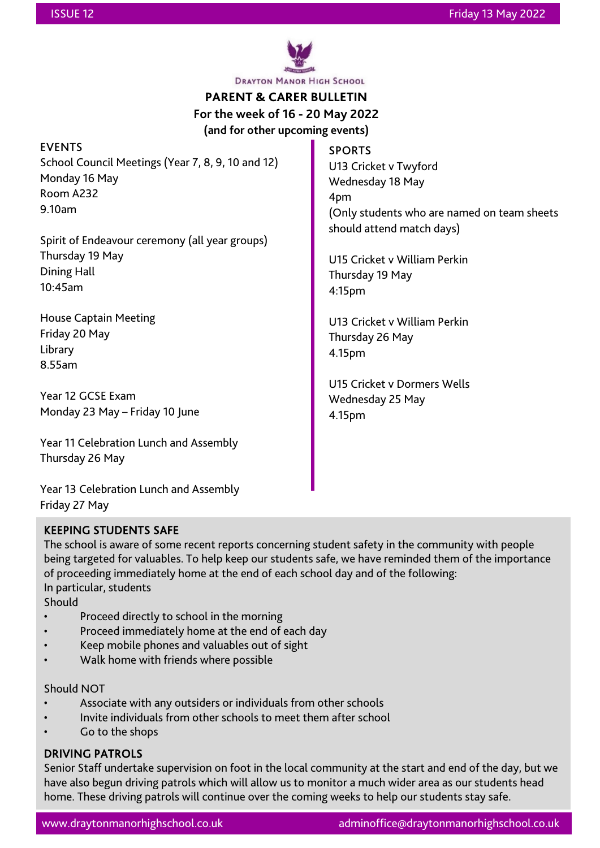

**DRAYTON MANOR HIGH SCHOOL** 

# **PARENT & CARER BULLETIN**

**For the week of 16 - 20 May 2022**

**(and for other upcoming events)**

| <b>EVENTS</b>                                     | <b>SPORTS</b>                               |
|---------------------------------------------------|---------------------------------------------|
| School Council Meetings (Year 7, 8, 9, 10 and 12) | U13 Cricket v Twyford                       |
| Monday 16 May                                     | Wednesday 18 May                            |
| Room A232                                         | 4pm                                         |
| 9.10am                                            | (Only students who are named on team sheets |
|                                                   | should attend match days)                   |
| Spirit of Endeavour ceremony (all year groups)    |                                             |
| Thursday 19 May                                   | U15 Cricket v William Perkin                |
| Dining Hall                                       | Thursday 19 May                             |
| 10:45am                                           | 4:15 <sub>pm</sub>                          |
| <b>House Captain Meeting</b>                      | U13 Cricket v William Perkin                |
| Friday 20 May                                     | Thursday 26 May                             |
| Library                                           | 4.15pm                                      |
| 8.55am                                            |                                             |
|                                                   | U15 Cricket v Dormers Wells                 |
| Year 12 GCSE Exam                                 | Wednesday 25 May                            |
| Monday 23 May - Friday 10 June                    | 4.15pm                                      |
| Year 11 Celebration Lunch and Assembly            |                                             |
| Thursday 26 May                                   |                                             |

Year 13 Celebration Lunch and Assembly Friday 27 May

# KEEPING STUDENTS SAFE

The school is aware of some recent reports concerning student safety in the community with people being targeted for valuables. To help keep our students safe, we have reminded them of the importance of proceeding immediately home at the end of each school day and of the following: In particular, students

**Should** 

- Proceed directly to school in the morning
- Proceed immediately home at the end of each day
- Keep mobile phones and valuables out of sight
- Walk home with friends where possible

### Should NOT

- Associate with any outsiders or individuals from other schools
- Invite individuals from other schools to meet them after school
- Go to the shops

# DRIVING PATROLS

Senior Staff undertake supervision on foot in the local community at the start and end of the day, but we have also begun driving patrols which will allow us to monitor a much wider area as our students head home. These driving patrols will continue over the coming weeks to help our students stay safe.